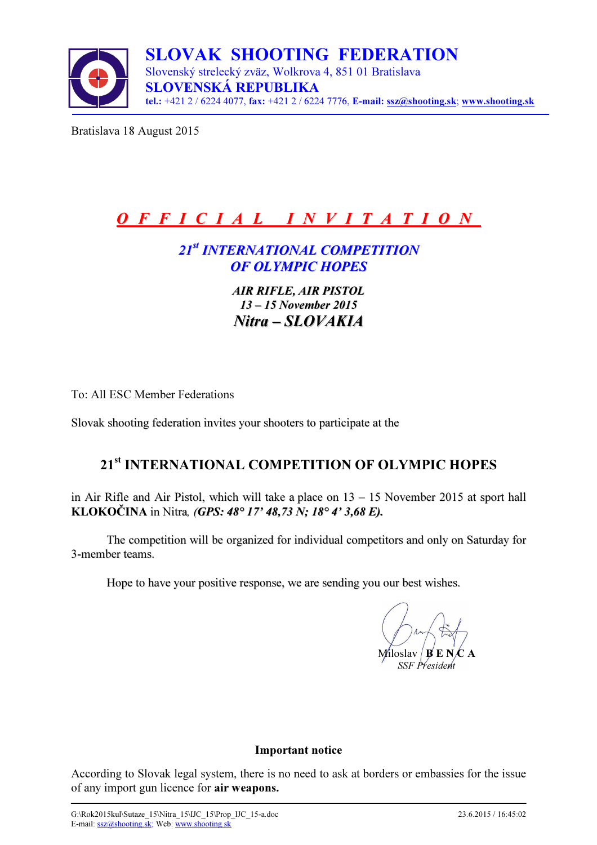

Bratislava 18 August 2015

# O F F I C I A L I N V I T A T I O N

## 21st INTERNATIONAL COMPETITION OF OLYMPIC HOPES

AIR RIFLE, AIR PISTOL 13 – 15 November 2015 Nitra – SLOVAKIA

To: All ESC Member Federations

Slovak shooting federation invites your shooters to participate at the

## 21<sup>st</sup> INTERNATIONAL COMPETITION OF OLYMPIC HOPES

in Air Rifle and Air Pistol, which will take a place on 13 – 15 November 2015 at sport hall KLOKOČINA in Nitra, (GPS: 48° 17' 48,73 N; 18° 4' 3,68 E).

The competition will be organized for individual competitors and only on Saturday for 3-member teams.

Hope to have your positive response, we are sending you our best wishes.

Miloslav SSF President

#### Important notice

According to Slovak legal system, there is no need to ask at borders or embassies for the issue of any import gun licence for air weapons.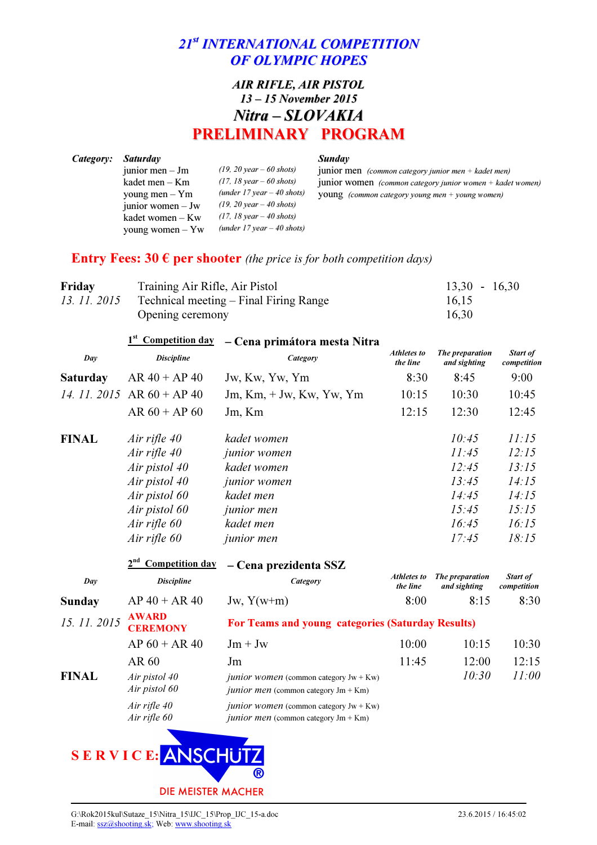## 21<sup>st</sup> INTERNATIONAL COMPETITION OF OLYMPIC HOPES

### AIR RIFLE, AIR PISTOL 13 – 15 November 2015 Nitra – SLOVAKIA PRELIMINARY PROGRAM

| Category: | <i>Saturday</i>     |                                            | <b>Sunday</b>                                               |
|-----------|---------------------|--------------------------------------------|-------------------------------------------------------------|
|           | junior men $-$ Jm   | $(19, 20 \text{ year} - 60 \text{ shots})$ | junior men (common category junior men + kadet men)         |
|           | kadet men $-$ Km    | $(17, 18 \text{ year} - 60 \text{ shots})$ | junior women (common category junior women $+$ kadet women) |
|           | young men $-$ Ym    | (under $17$ year $-$ 40 shots)             | <b>YOUNG</b> (common category young men $+$ young women)    |
|           | junior women $-$ Jw | $(19, 20 \text{ year} - 40 \text{ shots})$ |                                                             |
|           | kadet women $-Kw$   | $(17, 18 \text{ year} - 40 \text{ shots})$ |                                                             |
|           | young women $-$ Yw  | (under $17$ year $-$ 40 shots)             |                                                             |

### Entry Fees: 30  $\epsilon$  per shooter (the price is for both competition days)

| Friday | Training Air Rifle, Air Pistol                      | $13.30 - 16.30$ |
|--------|-----------------------------------------------------|-----------------|
|        | 13. 11. 2015 Technical meeting – Final Firing Range | 16,15           |
|        | Opening ceremony                                    | 16,30           |

|                                            | <b>Competition day</b>                   | - Cena primátora mesta Nitra                                                                       |                         |                                 |                                |
|--------------------------------------------|------------------------------------------|----------------------------------------------------------------------------------------------------|-------------------------|---------------------------------|--------------------------------|
| Day                                        | <b>Discipline</b>                        | Category                                                                                           | Athletes to<br>the line | The preparation<br>and sighting | <b>Start of</b><br>competition |
| <b>Saturday</b>                            | $AR 40 + AP 40$                          | Jw, Kw, Yw, Ym                                                                                     | 8:30                    | 8:45                            | 9:00                           |
|                                            | $AR 60 + AP 40$                          | $Jm, Km, +Jw, Kw, Yw, Ym$                                                                          | 10:15                   | 10:30                           | 10:45                          |
|                                            | $AR 60 + AP 60$                          | Jm, Km                                                                                             | 12:15                   | 12:30                           | 12:45                          |
| <b>FINAL</b>                               | Air rifle 40                             | kadet women                                                                                        |                         | 10:45                           | 11:15                          |
|                                            | Air rifle 40                             | junior women                                                                                       |                         | 11:45                           | 12:15                          |
|                                            | Air pistol 40                            | kadet women                                                                                        |                         | 12:45                           | 13:15                          |
|                                            | Air pistol 40                            | <i>junior</i> women                                                                                |                         | 13:45                           | 14:15                          |
|                                            | Air pistol 60                            | kadet men                                                                                          |                         | 14:45                           | 14:15                          |
|                                            | Air pistol 60                            | <i>junior</i> men                                                                                  |                         | 15:45                           | 15:15                          |
|                                            | Air rifle 60                             | kadet men                                                                                          |                         | 16:45                           | 16:15                          |
|                                            | Air rifle 60                             | <i>junior</i> men                                                                                  |                         | 17:45                           | 18:15                          |
|                                            | Competition day<br>- Cena prezidenta SSZ |                                                                                                    |                         |                                 |                                |
| Day                                        | <b>Discipline</b>                        | Category                                                                                           | Athletes to<br>the line | The preparation<br>and sighting | <b>Start of</b><br>competition |
| <b>Sunday</b>                              | $AP 40 + AR 40$                          | Jw, $Y(w+m)$                                                                                       | 8:00                    | 8:15                            | 8:30                           |
| 14. 11. 2015<br>15.11.2015<br><b>FINAL</b> | <b>AWARD</b><br><b>CEREMONY</b>          | For Teams and young categories (Saturday Results)                                                  |                         |                                 |                                |
|                                            | $AP 60 + AR 40$                          | $Jm + Jw$                                                                                          | 10:00                   | 10:15                           | 10:30                          |
|                                            | AR 60                                    | Jm                                                                                                 | 11:45                   | 12:00                           | 12:15                          |
|                                            | Air pistol 40<br>Air pistol 60           | <i>junior women</i> (common category $Jw + Kw$ )<br><i>junior men</i> (common category $Jm + Km$ ) |                         | 10:30                           | 11:00                          |
|                                            | Air rifle 40<br>Air rifle 60             | <i>junior women</i> (common category $Jw + Kw$ )<br><i>junior men</i> (common category $Jm + Km$ ) |                         |                                 |                                |
|                                            | SERVICE: ANSCHUTZ                        |                                                                                                    |                         |                                 |                                |

®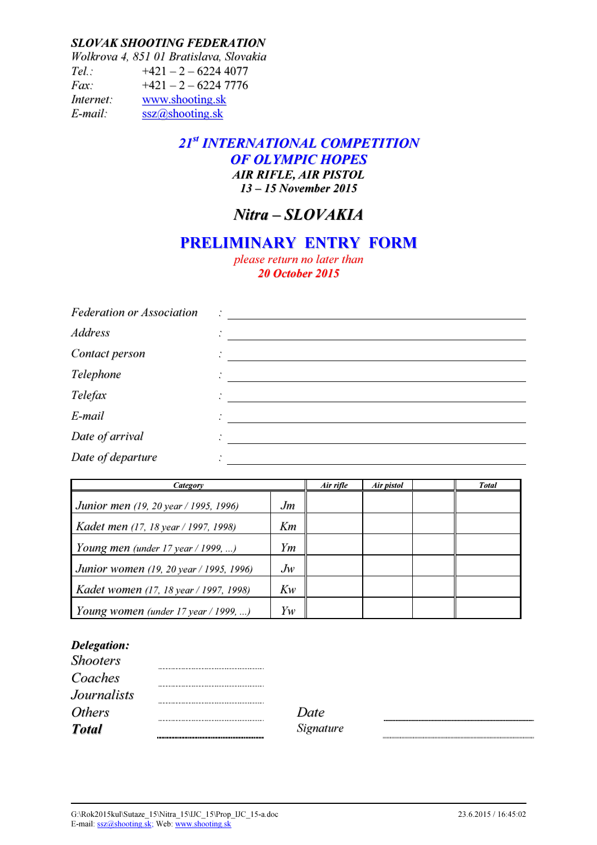#### SLOVAK SHOOTING FEDERATION

Wolkrova 4, 851 01 Bratislava, Slovakia  $Tel.: +421 - 2 - 62244077$ Fax:  $+421 - 2 - 6224$  7776 Internet: www.shooting.sk E-mail: ssz@shooting.sk

### 21st INTERNATIONAL COMPETITION OF OLYMPIC HOPES AIR RIFLE, AIR PISTOL 13 – 15 November 2015

## Nitra – SLOVAKIA

## PRELIMINARY ENTRY FORM

please return no later than 20 October 2015

| <b>Federation or Association</b> | $\bullet$ |
|----------------------------------|-----------|
| <b>Address</b>                   | $\bullet$ |
| Contact person                   |           |
| Telephone                        |           |
| Telefax                          |           |
| E-mail                           |           |
| Date of arrival                  |           |
| Date of departure                |           |

| Category                                 | Air rifle | Air pistol | <b>Total</b> |  |
|------------------------------------------|-----------|------------|--------------|--|
| Junior men (19, 20 year / 1995, 1996)    | Jm        |            |              |  |
| Kadet men (17, 18 year / 1997, 1998)     | Km        |            |              |  |
| Young men (under 17 year / 1999, )       | Ym        |            |              |  |
| Junior women (19, 20 year / 1995, 1996)  | $J_{W}$   |            |              |  |
| Kadet women (17, 18 year / 1997, 1998)   | Kw        |            |              |  |
| Young women (under $17$ year $/$ 1999, ) | Yw        |            |              |  |

#### Delegation:

| <b>Shooters</b>    |       |
|--------------------|-------|
| Coaches            |       |
| <b>Journalists</b> |       |
| <b>Others</b>      | Date  |
| <b>Total</b>       | Signa |

Signature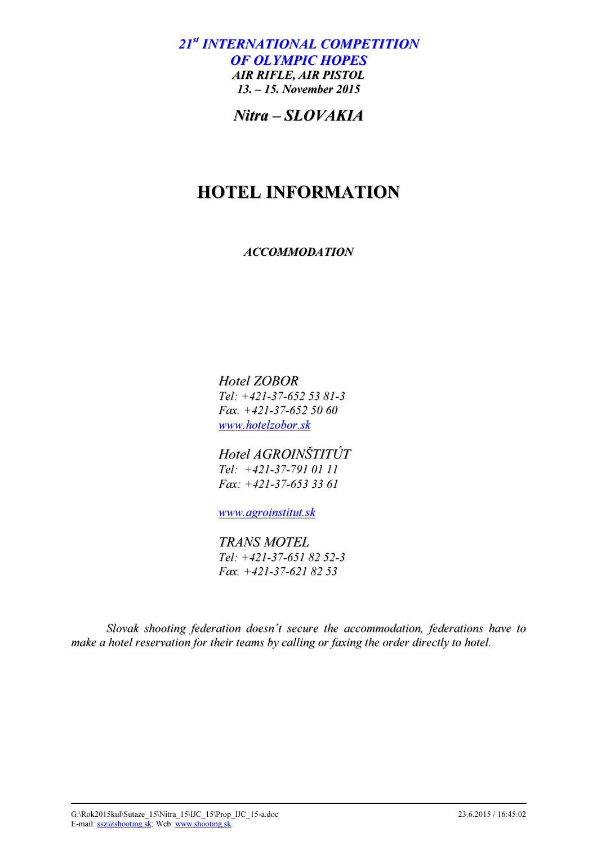21<sup>st</sup> INTERNATIONAL COMPETITION OF OLYMPIC HOPES AIR RIFLE, AIR PISTOL 13. – 15. November 2015

Nitra – SLOVAKIA

# HOTEL INFORMATION

ACCOMMODATION

Hotel ZOBOR Tel: +421-37-652 53 81-3 Fax. +421-37-652 50 60 www.hotelzobor.sk

Hotel AGROINŠTITÚT Tel: +421-37-791 01 11 Fax: +421-37-653 33 61

www.agroinstitut.sk

TRANS MOTEL Tel: +421-37-651 82 52-3 Fax. +421-37-621 82 53

Slovak shooting federation doesn´t secure the accommodation, federations have to make a hotel reservation for their teams by calling or faxing the order directly to hotel.